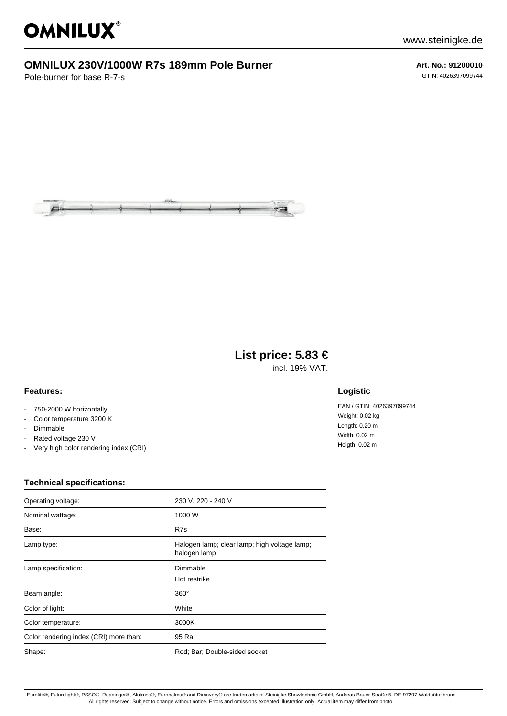

## **OMNILUX 230V/1000W R7s 189mm Pole Burner**

Pole-burner for base R-7-s

**Art. No.: 91200010** GTIN: 4026397099744



# **List price: 5.83 €**

incl. 19% VAT.

### **Features:**

- 750-2000 W horizontally
- Color temperature 3200 K
- Dimmable
- Rated voltage 230 V
- Very high color rendering index (CRI)

### **Technical specifications:**

| Operating voltage:                     | 230 V, 220 - 240 V                                           |
|----------------------------------------|--------------------------------------------------------------|
| Nominal wattage:                       | 1000 W                                                       |
| Base:                                  | R7s                                                          |
| Lamp type:                             | Halogen lamp; clear lamp; high voltage lamp;<br>halogen lamp |
| Lamp specification:                    | Dimmable<br>Hot restrike                                     |
| Beam angle:                            | $360^\circ$                                                  |
| Color of light:                        | White                                                        |
| Color temperature:                     | 3000K                                                        |
| Color rendering index (CRI) more than: | 95 Ra                                                        |
| Shape:                                 | Rod; Bar; Double-sided socket                                |

#### **Logistic**

EAN / GTIN: 4026397099744 Weight: 0,02 kg Length: 0.20 m Width: 0.02 m Heigth: 0.02 m

Eurolite®, Futurelight®, PSSO®, Roadinger®, Alutruss®, Europalms® and Dimavery® are trademarks of Steinigke Showtechnic GmbH, Andreas-Bauer-Straße 5, DE-97297 Waldbüttelbrunn All rights reserved. Subject to change without notice. Errors and omissions excepted.Illustration only. Actual item may differ from photo.